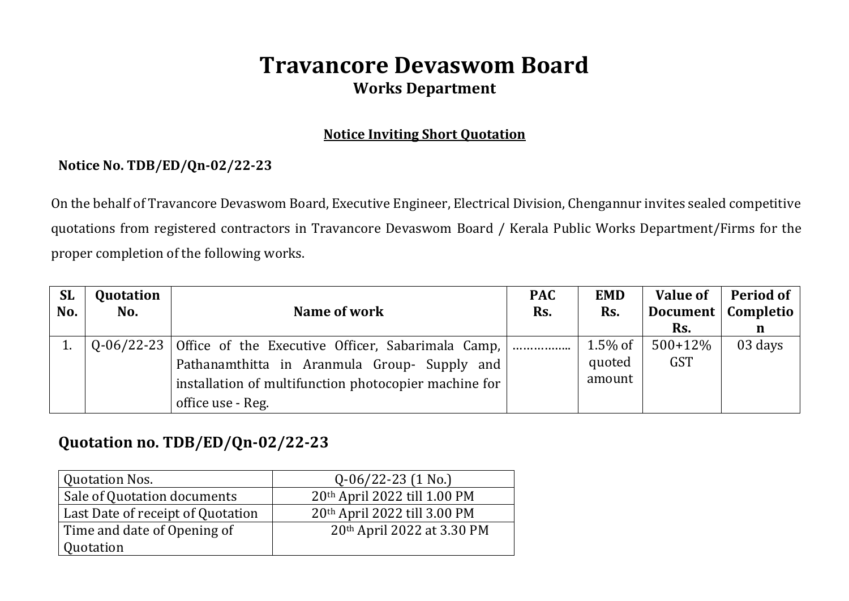# **Travancore Devaswom Board Works Department**

#### **Notice Inviting Short Quotation**

### **Notice No. TDB/ED/Qn-02/22-23**

On the behalf of Travancore Devaswom Board, Executive Engineer, Electrical Division, Chengannur invites sealed competitive quotations from registered contractors in Travancore Devaswom Board / Kerala Public Works Department/Firms for the proper completion of the following works.

| <b>SL</b> | Quotation |                                                       | <b>PAC</b> | <b>EMD</b> | <b>Value of</b> | Period of            |
|-----------|-----------|-------------------------------------------------------|------------|------------|-----------------|----------------------|
| No.       | No.       | Name of work                                          | Rs.        | Rs.        |                 | Document   Completio |
|           |           |                                                       |            |            | Rs.             | n                    |
|           |           |                                                       |            | 1.5% of    | $500+12%$       | 03 days              |
|           |           | Pathanamthitta in Aranmula Group- Supply and          |            | quoted     | <b>GST</b>      |                      |
|           |           | installation of multifunction photocopier machine for |            | amount     |                 |                      |
|           |           | office use - Reg.                                     |            |            |                 |                      |

## **Quotation no. TDB/ED/Qn-02/22-23**

| <b>Quotation Nos.</b>             | $Q-06/22-23$ (1 No.)                   |  |  |
|-----------------------------------|----------------------------------------|--|--|
| Sale of Quotation documents       | 20th April 2022 till 1.00 PM           |  |  |
| Last Date of receipt of Quotation | $20th$ April 2022 till 3.00 PM         |  |  |
| Time and date of Opening of       | 20 <sup>th</sup> April 2022 at 3.30 PM |  |  |
| Quotation                         |                                        |  |  |